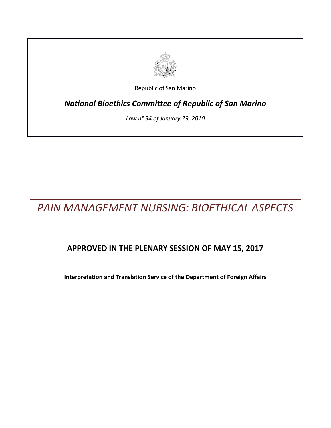

Republic of San Marino

*National Bioethics Committee of Republic of San Marino*

*Law n° 34 of January 29, 2010*

*PAIN MANAGEMENT NURSING: BIOETHICAL ASPECTS*

# **APPROVED IN THE PLENARY SESSION OF MAY 15, 2017**

**Interpretation and Translation Service of the Department of Foreign Affairs**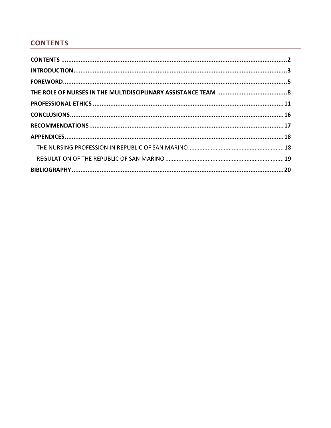## <span id="page-1-0"></span>**CONTENTS**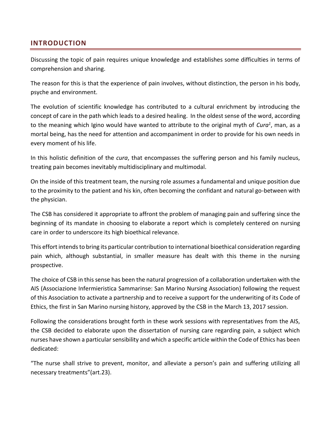## <span id="page-2-0"></span>**INTRODUCTION**

Discussing the topic of pain requires unique knowledge and establishes some difficulties in terms of comprehension and sharing.

The reason for this is that the experience of pain involves, without distinction, the person in his body, psyche and environment.

The evolution of scientific knowledge has contributed to a cultural enrichment by introducing the concept of care in the path which leads to a desired healing. In the oldest sense of the word, according to the meaning which Igino would have wanted to attribute to the original myth of *Cura<sup>1</sup>* , man, as a mortal being, has the need for attention and accompaniment in order to provide for his own needs in every moment of his life.

In this holistic definition of the *cura*, that encompasses the suffering person and his family nucleus, treating pain becomes inevitably multidisciplinary and multimodal.

On the inside of this treatment team, the nursing role assumes a fundamental and unique position due to the proximity to the patient and his kin, often becoming the confidant and natural go-between with the physician.

The CSB has considered it appropriate to affront the problem of managing pain and suffering since the beginning of its mandate in choosing to elaborate a report which is completely centered on nursing care in order to underscore its high bioethical relevance.

This effort intends to bring its particular contribution to international bioethical consideration regarding pain which, although substantial, in smaller measure has dealt with this theme in the nursing prospective.

The choice of CSB in this sense has been the natural progression of a collaboration undertaken with the AIS (Associazione Infermieristica Sammarinse: San Marino Nursing Association) following the request of this Association to activate a partnership and to receive a support for the underwriting of its Code of Ethics, the first in San Marino nursing history, approved by the CSB in the March 13, 2017 session.

Following the considerations brought forth in these work sessions with representatives from the AIS, the CSB decided to elaborate upon the dissertation of nursing care regarding pain, a subject which nurses have shown a particular sensibility and which a specific article within the Code of Ethics has been dedicated:

"The nurse shall strive to prevent, monitor, and alleviate a person's pain and suffering utilizing all necessary treatments"(art.23).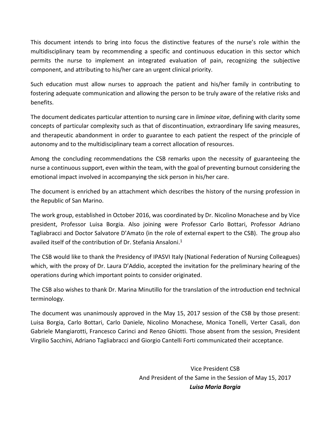This document intends to bring into focus the distinctive features of the nurse's role within the multidisciplinary team by recommending a specific and continuous education in this sector which permits the nurse to implement an integrated evaluation of pain, recognizing the subjective component, and attributing to his/her care an urgent clinical priority.

Such education must allow nurses to approach the patient and his/her family in contributing to fostering adequate communication and allowing the person to be truly aware of the relative risks and benefits.

The document dedicates particular attention to nursing care in *liminae vitae*, defining with clarity some concepts of particular complexity such as that of discontinuation, extraordinary life saving measures, and therapeutic abandonment in order to guarantee to each patient the respect of the principle of autonomy and to the multidisciplinary team a correct allocation of resources.

Among the concluding recommendations the CSB remarks upon the necessity of guaranteeing the nurse a continuous support, even within the team, with the goal of preventing burnout considering the emotional impact involved in accompanying the sick person in his/her care.

The document is enriched by an attachment which describes the history of the nursing profession in the Republic of San Marino.

The work group, established in October 2016, was coordinated by Dr. Nicolino Monachese and by Vice president, Professor Luisa Borgia. Also joining were Professor Carlo Bottari, Professor Adriano Tagliabracci and Doctor Salvatore D'Amato (in the role of external expert to the CSB). The group also availed itself of the contribution of Dr. Stefania Ansaloni. 1

The CSB would like to thank the Presidency of IPASVI Italy (National Federation of Nursing Colleagues) which, with the proxy of Dr. Laura D'Addio, accepted the invitation for the preliminary hearing of the operations during which important points to consider originated.

The CSB also wishes to thank Dr. Marina Minutillo for the translation of the introduction end technical terminology.

The document was unanimously approved in the May 15, 2017 session of the CSB by those present: Luisa Borgia, Carlo Bottari, Carlo Daniele, Nicolino Monachese, Monica Tonelli, Verter Casali, don Gabriele Mangiarotti, Francesco Carinci and Renzo Ghiotti. Those absent from the session, President Virgilio Sacchini, Adriano Tagliabracci and Giorgio Cantelli Forti communicated their acceptance.

> Vice President CSB And President of the Same in the Session of May 15, 2017 *Luisa Maria Borgia*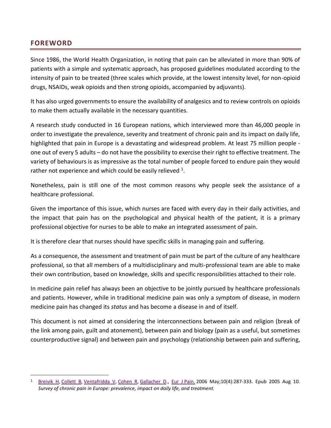#### <span id="page-4-0"></span>**FOREWORD**

 $\overline{a}$ 

Since 1986, the World Health Organization, in noting that pain can be alleviated in more than 90% of patients with a simple and systematic approach, has proposed guidelines modulated according to the intensity of pain to be treated (three scales which provide, at the lowest intensity level, for non-opioid drugs, NSAIDs, weak opioids and then strong opioids, accompanied by adjuvants).

It has also urged governments to ensure the availability of analgesics and to review controls on opioids to make them actually available in the necessary quantities.

A research study conducted in 16 European nations, which interviewed more than 46,000 people in order to investigate the prevalence, severity and treatment of chronic pain and its impact on daily life, highlighted that pain in Europe is a devastating and widespread problem. At least 75 million people one out of every 5 adults – do not have the possibility to exercise their right to effective treatment. The variety of behaviours is as impressive as the total number of people forced to endure pain they would rather not experience and which could be easily relieved  $1$ .

Nonetheless, pain is still one of the most common reasons why people seek the assistance of a healthcare professional.

Given the importance of this issue, which nurses are faced with every day in their daily activities, and the impact that pain has on the psychological and physical health of the patient, it is a primary professional objective for nurses to be able to make an integrated assessment of pain.

It is therefore clear that nurses should have specific skills in managing pain and suffering.

As a consequence, the assessment and treatment of pain must be part of the culture of any healthcare professional, so that all members of a multidisciplinary and multi-professional team are able to make their own contribution, based on knowledge, skills and specific responsibilities attached to their role.

In medicine pain relief has always been an objective to be jointly pursued by healthcare professionals and patients. However, while in traditional medicine pain was only a symptom of disease, in modern medicine pain has changed its *status* and has become a disease in and of itself.

This document is not aimed at considering the interconnections between pain and religion (break of the link among pain, guilt and atonement), between pain and biology (pain as a useful, but sometimes counterproductive signal) and between pain and psychology (relationship between pain and suffering,

[Breivik H,](https://www.ncbi.nlm.nih.gov/pubmed/?term=Breivik%20H%5BAuthor%5D&cauthor=true&cauthor_uid=16095934) [Collett B,](https://www.ncbi.nlm.nih.gov/pubmed/?term=Collett%20B%5BAuthor%5D&cauthor=true&cauthor_uid=16095934) [Ventafridda](https://www.ncbi.nlm.nih.gov/pubmed/?term=Ventafridda%20V%5BAuthor%5D&cauthor=true&cauthor_uid=16095934) V, [Cohen R,](https://www.ncbi.nlm.nih.gov/pubmed/?term=Cohen%20R%5BAuthor%5D&cauthor=true&cauthor_uid=16095934) [Gallacher D.](https://www.ncbi.nlm.nih.gov/pubmed/?term=Gallacher%20D%5BAuthor%5D&cauthor=true&cauthor_uid=16095934), [Eur J](https://www.ncbi.nlm.nih.gov/pubmed/16095934) Pain. 2006 May;10(4):287-333. Epub 2005 Aug 10. *Survey of chronic pain in Europe: prevalence, impact on daily life, and treatment.*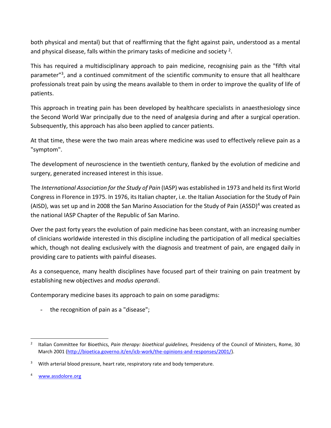both physical and mental) but that of reaffirming that the fight against pain, understood as a mental and physical disease, falls within the primary tasks of medicine and society <sup>2</sup>.

This has required a multidisciplinary approach to pain medicine, recognising pain as the "fifth vital parameter"<sup>3</sup>, and a continued commitment of the scientific community to ensure that all healthcare professionals treat pain by using the means available to them in order to improve the quality of life of patients.

This approach in treating pain has been developed by healthcare specialists in anaesthesiology since the Second World War principally due to the need of analgesia during and after a surgical operation. Subsequently, this approach has also been applied to cancer patients.

At that time, these were the two main areas where medicine was used to effectively relieve pain as a "symptom".

The development of neuroscience in the twentieth century, flanked by the evolution of medicine and surgery, generated increased interest in this issue.

The *International Association for the Study of Pain* (IASP) was established in 1973 and held its first World Congress in Florence in 1975. In 1976, its Italian chapter, i.e. the Italian Association for the Study of Pain (AISD), was set up and in 2008 the San Marino Association for the Study of Pain (ASSD)<sup>4</sup> was created as the national IASP Chapter of the Republic of San Marino.

Over the past forty years the evolution of pain medicine has been constant, with an increasing number of clinicians worldwide interested in this discipline including the participation of all medical specialties which, though not dealing exclusively with the diagnosis and treatment of pain, are engaged daily in providing care to patients with painful diseases.

As a consequence, many health disciplines have focused part of their training on pain treatment by establishing new objectives and *modus operandi*.

Contemporary medicine bases its approach to pain on some paradigms:

- the recognition of pain as a "disease";

4 [www.assdolore.org](http://www.assdolore.org/)

 $\overline{\phantom{0}}$ 2 Italian Committee for Bioethics, *Pain therapy: bioethical guidelines,* Presidency of the Council of Ministers, Rome, 30 March 2001 [\(http://bioetica.governo.it/en/icb-work/the-opinions-and-responses/2001/\)](http://bioetica.governo.it/en/icb-work/the-opinions-and-responses/2001/).

 $3$  With arterial blood pressure, heart rate, respiratory rate and body temperature.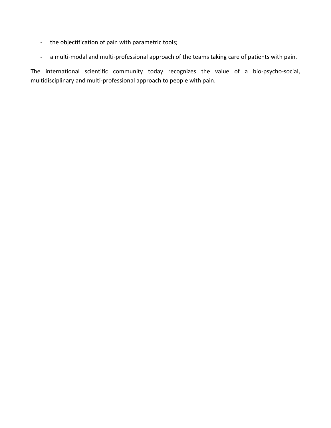- the objectification of pain with parametric tools;
- a multi-modal and multi-professional approach of the teams taking care of patients with pain.

The international scientific community today recognizes the value of a bio-psycho-social, multidisciplinary and multi-professional approach to people with pain.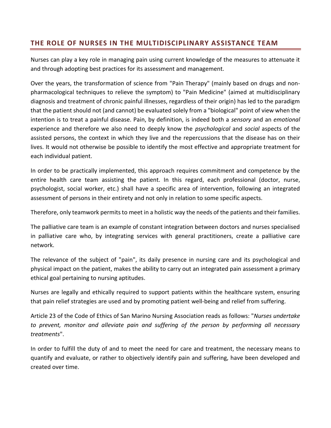## <span id="page-7-0"></span>**THE ROLE OF NURSES IN THE MULTIDISCIPLINARY ASSISTANCE TEAM**

Nurses can play a key role in managing pain using current knowledge of the measures to attenuate it and through adopting best practices for its assessment and management.

Over the years, the transformation of science from "Pain Therapy" (mainly based on drugs and nonpharmacological techniques to relieve the symptom) to "Pain Medicine" (aimed at multidisciplinary diagnosis and treatment of chronic painful illnesses, regardless of their origin) has led to the paradigm that the patient should not (and cannot) be evaluated solely from a "biological" point of view when the intention is to treat a painful disease. Pain, by definition, is indeed both a *sensory* and an *emotional* experience and therefore we also need to deeply know the *psychological* and *social* aspects of the assisted persons, the context in which they live and the repercussions that the disease has on their lives. It would not otherwise be possible to identify the most effective and appropriate treatment for each individual patient.

In order to be practically implemented, this approach requires commitment and competence by the entire health care team assisting the patient. In this regard, each professional (doctor, nurse, psychologist, social worker, etc.) shall have a specific area of intervention, following an integrated assessment of persons in their entirety and not only in relation to some specific aspects.

Therefore, only teamwork permits to meet in a holistic way the needs of the patients and their families.

The palliative care team is an example of constant integration between doctors and nurses specialised in palliative care who, by integrating services with general practitioners, create a palliative care network.

The relevance of the subject of "pain", its daily presence in nursing care and its psychological and physical impact on the patient, makes the ability to carry out an integrated pain assessment a primary ethical goal pertaining to nursing aptitudes.

Nurses are legally and ethically required to support patients within the healthcare system, ensuring that pain relief strategies are used and by promoting patient well-being and relief from suffering.

Article 23 of the Code of Ethics of San Marino Nursing Association reads as follows: "*Nurses undertake to prevent, monitor and alleviate pain and suffering of the person by performing all necessary treatments*".

In order to fulfill the duty of and to meet the need for care and treatment, the necessary means to quantify and evaluate, or rather to objectively identify pain and suffering, have been developed and created over time.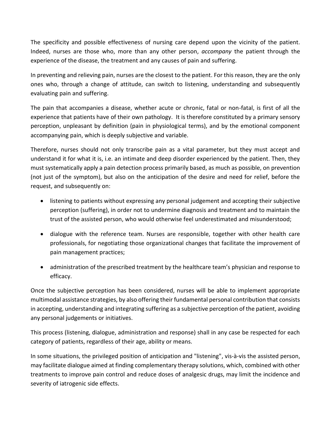The specificity and possible effectiveness of nursing care depend upon the vicinity of the patient. Indeed, nurses are those who, more than any other person, *accompany* the patient through the experience of the disease, the treatment and any causes of pain and suffering.

In preventing and relieving pain, nurses are the closest to the patient. For this reason, they are the only ones who, through a change of attitude, can switch to listening, understanding and subsequently evaluating pain and suffering.

The pain that accompanies a disease, whether acute or chronic, fatal or non-fatal, is first of all the experience that patients have of their own pathology. It is therefore constituted by a primary sensory perception, unpleasant by definition (pain in physiological terms), and by the emotional component accompanying pain, which is deeply subjective and variable.

Therefore, nurses should not only transcribe pain as a vital parameter, but they must accept and understand it for what it is, i.e. an intimate and deep disorder experienced by the patient. Then, they must systematically apply a pain detection process primarily based, as much as possible, on prevention (not just of the symptom), but also on the anticipation of the desire and need for relief, before the request, and subsequently on:

- listening to patients without expressing any personal judgement and accepting their subjective perception (suffering), in order not to undermine diagnosis and treatment and to maintain the trust of the assisted person, who would otherwise feel underestimated and misunderstood;
- dialogue with the reference team. Nurses are responsible, together with other health care professionals, for negotiating those organizational changes that facilitate the improvement of pain management practices;
- administration of the prescribed treatment by the healthcare team's physician and response to efficacy.

Once the subjective perception has been considered, nurses will be able to implement appropriate multimodal assistance strategies, by also offering their fundamental personal contribution that consists in accepting, understanding and integrating suffering as a subjective perception of the patient, avoiding any personal judgements or initiatives.

This process (listening, dialogue, administration and response) shall in any case be respected for each category of patients, regardless of their age, ability or means.

In some situations, the privileged position of anticipation and "listening", vis-à-vis the assisted person, may facilitate dialogue aimed at finding complementary therapy solutions, which, combined with other treatments to improve pain control and reduce doses of analgesic drugs, may limit the incidence and severity of iatrogenic side effects.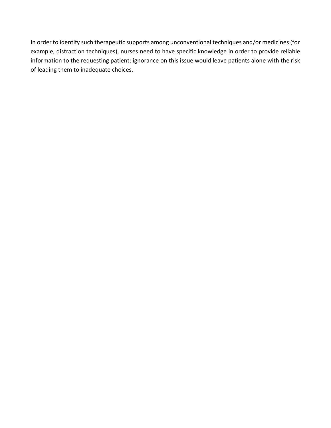In order to identify such therapeutic supports among unconventional techniques and/or medicines (for example, distraction techniques), nurses need to have specific knowledge in order to provide reliable information to the requesting patient: ignorance on this issue would leave patients alone with the risk of leading them to inadequate choices.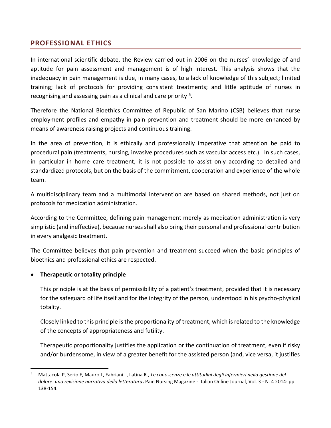## <span id="page-10-0"></span>**PROFESSIONAL ETHICS**

In international scientific debate, the Review carried out in 2006 on the nurses' knowledge of and aptitude for pain assessment and management is of high interest. This analysis shows that the inadequacy in pain management is due, in many cases, to a lack of knowledge of this subject; limited training; lack of protocols for providing consistent treatments; and little aptitude of nurses in recognising and assessing pain as a clinical and care priority <sup>5</sup>.

Therefore the National Bioethics Committee of Republic of San Marino (CSB) believes that nurse employment profiles and empathy in pain prevention and treatment should be more enhanced by means of awareness raising projects and continuous training.

In the area of prevention, it is ethically and professionally imperative that attention be paid to procedural pain (treatments, nursing, invasive procedures such as vascular access etc.). In such cases, in particular in home care treatment, it is not possible to assist only according to detailed and standardized protocols, but on the basis of the commitment, cooperation and experience of the whole team.

A multidisciplinary team and a multimodal intervention are based on shared methods, not just on protocols for medication administration.

According to the Committee, defining pain management merely as medication administration is very simplistic (and ineffective), because nurses shall also bring their personal and professional contribution in every analgesic treatment.

The Committee believes that pain prevention and treatment succeed when the basic principles of bioethics and professional ethics are respected.

#### **Therapeutic or totality principle**

 $\overline{\phantom{0}}$ 

This principle is at the basis of permissibility of a patient's treatment, provided that it is necessary for the safeguard of life itself and for the integrity of the person, understood in his psycho-physical totality.

Closely linked to this principle is the proportionality of treatment, which is related to the knowledge of the concepts of appropriateness and futility.

Therapeutic proportionality justifies the application or the continuation of treatment, even if risky and/or burdensome, in view of a greater benefit for the assisted person (and, vice versa, it justifies

<sup>5</sup> Mattacola P, Serio F, Mauro L, Fabriani L, Latina R., *Le conoscenze e le attitudini degli infermieri nella gestione del dolore: una revisione narrativa della letteratura***.** Pain Nursing Magazine - Italian Online Journal, Vol. 3 - N. 4 2014: pp 138-154.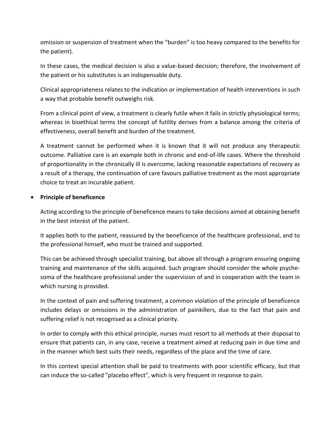omission or suspension of treatment when the "burden" is too heavy compared to the benefits for the patient).

In these cases, the medical decision is also a value-based decision; therefore, the involvement of the patient or his substitutes is an indispensable duty.

Clinical appropriateness relates to the indication or implementation of health interventions in such a way that probable benefit outweighs risk.

From a clinical point of view, a treatment is clearly futile when it fails in strictly physiological terms; whereas in bioethical terms the concept of futility derives from a balance among the criteria of effectiveness, overall benefit and burden of the treatment.

A treatment cannot be performed when it is known that it will not produce any therapeutic outcome. Palliative care is an example both in chronic and end-of-life cases. Where the threshold of proportionality in the chronically ill is overcome, lacking reasonable expectations of recovery as a result of a therapy, the continuation of care favours palliative treatment as the most appropriate choice to treat an incurable patient.

#### **•** Principle of beneficence

Acting according to the principle of beneficence means to take decisions aimed at obtaining benefit in the best interest of the patient.

It applies both to the patient, reassured by the beneficence of the healthcare professional, and to the professional himself, who must be trained and supported.

This can be achieved through specialist training, but above all through a program ensuring ongoing training and maintenance of the skills acquired. Such program should consider the whole psychesoma of the healthcare professional under the supervision of and in cooperation with the team in which nursing is provided.

In the context of pain and suffering treatment, a common violation of the principle of beneficence includes delays or omissions in the administration of painkillers, due to the fact that pain and suffering relief is not recognised as a clinical priority.

In order to comply with this ethical principle, nurses must resort to all methods at their disposal to ensure that patients can, in any case, receive a treatment aimed at reducing pain in due time and in the manner which best suits their needs, regardless of the place and the time of care.

In this context special attention shall be paid to treatments with poor scientific efficacy, but that can induce the so-called "placebo effect", which is very frequent in response to pain.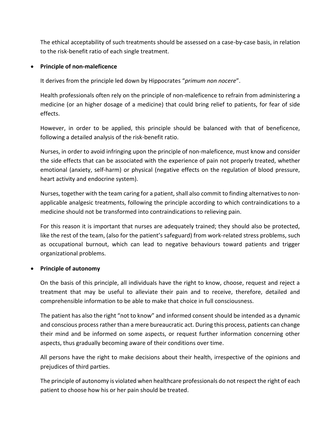The ethical acceptability of such treatments should be assessed on a case-by-case basis, in relation to the risk-benefit ratio of each single treatment.

#### **Principle of non-maleficence**

It derives from the principle led down by Hippocrates "*primum non nocere*".

Health professionals often rely on the principle of non-maleficence to refrain from administering a medicine (or an higher dosage of a medicine) that could bring relief to patients, for fear of side effects.

However, in order to be applied, this principle should be balanced with that of beneficence, following a detailed analysis of the risk-benefit ratio.

Nurses, in order to avoid infringing upon the principle of non-maleficence, must know and consider the side effects that can be associated with the experience of pain not properly treated, whether emotional (anxiety, self-harm) or physical (negative effects on the regulation of blood pressure, heart activity and endocrine system).

Nurses, together with the team caring for a patient, shall also commit to finding alternatives to nonapplicable analgesic treatments, following the principle according to which contraindications to a medicine should not be transformed into contraindications to relieving pain.

For this reason it is important that nurses are adequately trained; they should also be protected, like the rest of the team, (also for the patient's safeguard) from work-related stress problems, such as occupational burnout, which can lead to negative behaviours toward patients and trigger organizational problems.

### **Principle of autonomy**

On the basis of this principle, all individuals have the right to know, choose, request and reject a treatment that may be useful to alleviate their pain and to receive, therefore, detailed and comprehensible information to be able to make that choice in full consciousness.

The patient has also the right "not to know" and informed consent should be intended as a dynamic and conscious process rather than a mere bureaucratic act. During this process, patients can change their mind and be informed on some aspects, or request further information concerning other aspects, thus gradually becoming aware of their conditions over time.

All persons have the right to make decisions about their health, irrespective of the opinions and prejudices of third parties.

The principle of autonomy is violated when healthcare professionals do not respect the right of each patient to choose how his or her pain should be treated.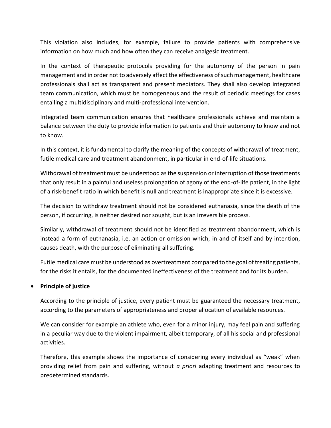This violation also includes, for example, failure to provide patients with comprehensive information on how much and how often they can receive analgesic treatment.

In the context of therapeutic protocols providing for the autonomy of the person in pain management and in order not to adversely affect the effectiveness of such management, healthcare professionals shall act as transparent and present mediators. They shall also develop integrated team communication, which must be homogeneous and the result of periodic meetings for cases entailing a multidisciplinary and multi-professional intervention.

Integrated team communication ensures that healthcare professionals achieve and maintain a balance between the duty to provide information to patients and their autonomy to know and not to know.

In this context, it is fundamental to clarify the meaning of the concepts of withdrawal of treatment, futile medical care and treatment abandonment, in particular in end-of-life situations.

Withdrawal of treatment must be understood as the suspension or interruption of those treatments that only result in a painful and useless prolongation of agony of the end-of-life patient, in the light of a risk-benefit ratio in which benefit is null and treatment is inappropriate since it is excessive.

The decision to withdraw treatment should not be considered euthanasia, since the death of the person, if occurring, is neither desired nor sought, but is an irreversible process.

Similarly, withdrawal of treatment should not be identified as treatment abandonment, which is instead a form of euthanasia, i.e. an action or omission which, in and of itself and by intention, causes death, with the purpose of eliminating all suffering.

Futile medical care must be understood as overtreatment compared to the goal of treating patients, for the risks it entails, for the documented ineffectiveness of the treatment and for its burden.

#### **Principle of justice**

According to the principle of justice, every patient must be guaranteed the necessary treatment, according to the parameters of appropriateness and proper allocation of available resources.

We can consider for example an athlete who, even for a minor injury, may feel pain and suffering in a peculiar way due to the violent impairment, albeit temporary, of all his social and professional activities.

Therefore, this example shows the importance of considering every individual as "weak" when providing relief from pain and suffering, without *a priori* adapting treatment and resources to predetermined standards.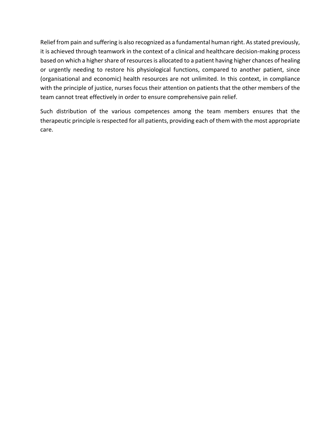Relief from pain and suffering is also recognized as a fundamental human right. As stated previously, it is achieved through teamwork in the context of a clinical and healthcare decision-making process based on which a higher share of resources is allocated to a patient having higher chances of healing or urgently needing to restore his physiological functions, compared to another patient, since (organisational and economic) health resources are not unlimited. In this context, in compliance with the principle of justice, nurses focus their attention on patients that the other members of the team cannot treat effectively in order to ensure comprehensive pain relief.

Such distribution of the various competences among the team members ensures that the therapeutic principle is respected for all patients, providing each of them with the most appropriate care.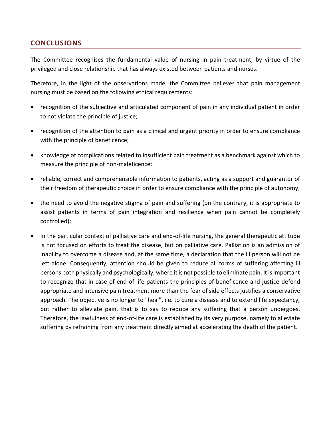## <span id="page-15-0"></span>**CONCLUSIONS**

The Committee recognises the fundamental value of nursing in pain treatment, by virtue of the privileged and close relationship that has always existed between patients and nurses.

Therefore, in the light of the observations made, the Committee believes that pain management nursing must be based on the following ethical requirements:

- recognition of the subjective and articulated component of pain in any individual patient in order to not violate the principle of justice;
- recognition of the attention to pain as a clinical and urgent priority in order to ensure compliance with the principle of beneficence;
- knowledge of complications related to insufficient pain treatment as a benchmark against which to measure the principle of non-maleficence;
- reliable, correct and comprehensible information to patients, acting as a support and guarantor of their freedom of therapeutic choice in order to ensure compliance with the principle of autonomy;
- the need to avoid the negative stigma of pain and suffering (on the contrary, it is appropriate to assist patients in terms of pain integration and resilience when pain cannot be completely controlled);
- In the particular context of palliative care and end-of-life nursing, the general therapeutic attitude is not focused on efforts to treat the disease, but on palliative care. Palliation is an admission of inability to overcome a disease and, at the same time, a declaration that the ill person will not be left alone. Consequently, attention should be given to reduce all forms of suffering affecting ill persons both physically and psychologically, where it is not possible to eliminate pain. It is important to recognize that in case of end-of-life patients the principles of beneficence and justice defend appropriate and intensive pain treatment more than the fear of side effects justifies a conservative approach. The objective is no longer to "heal", i.e. to cure a disease and to extend life expectancy, but rather to alleviate pain, that is to say to reduce any suffering that a person undergoes. Therefore, the lawfulness of end-of-life care is established by its very purpose, namely to alleviate suffering by refraining from any treatment directly aimed at accelerating the death of the patient.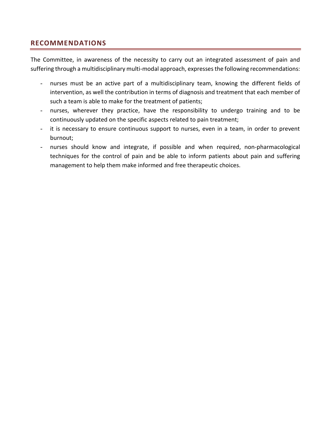## <span id="page-16-0"></span>**RECOMMENDATIONS**

The Committee, in awareness of the necessity to carry out an integrated assessment of pain and suffering through a multidisciplinary multi-modal approach, expresses the following recommendations:

- nurses must be an active part of a multidisciplinary team, knowing the different fields of intervention, as well the contribution in terms of diagnosis and treatment that each member of such a team is able to make for the treatment of patients;
- nurses, wherever they practice, have the responsibility to undergo training and to be continuously updated on the specific aspects related to pain treatment;
- it is necessary to ensure continuous support to nurses, even in a team, in order to prevent burnout;
- nurses should know and integrate, if possible and when required, non-pharmacological techniques for the control of pain and be able to inform patients about pain and suffering management to help them make informed and free therapeutic choices.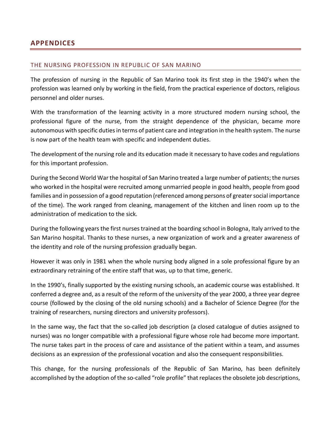## <span id="page-17-0"></span>**APPENDICES**

#### <span id="page-17-1"></span>THE NURSING PROFESSION IN REPUBLIC OF SAN MARINO

The profession of nursing in the Republic of San Marino took its first step in the 1940's when the profession was learned only by working in the field, from the practical experience of doctors, religious personnel and older nurses.

With the transformation of the learning activity in a more structured modern nursing school, the professional figure of the nurse, from the straight dependence of the physician, became more autonomous with specific duties in terms of patient care and integration in the health system. The nurse is now part of the health team with specific and independent duties.

The development of the nursing role and its education made it necessary to have codes and regulations for this important profession.

During the Second World War the hospital of San Marino treated a large number of patients; the nurses who worked in the hospital were recruited among unmarried people in good health, people from good families and in possession of a good reputation (referenced among persons of greater social importance of the time). The work ranged from cleaning, management of the kitchen and linen room up to the administration of medication to the sick.

During the following years the first nurses trained at the boarding school in Bologna, Italy arrived to the San Marino hospital. Thanks to these nurses, a new organization of work and a greater awareness of the identity and role of the nursing profession gradually began.

However it was only in 1981 when the whole nursing body aligned in a sole professional figure by an extraordinary retraining of the entire staff that was, up to that time, generic.

In the 1990's, finally supported by the existing nursing schools, an academic course was established. It conferred a degree and, as a result of the reform of the university of the year 2000, a three year degree course (followed by the closing of the old nursing schools) and a Bachelor of Science Degree (for the training of researchers, nursing directors and university professors).

In the same way, the fact that the so-called job description (a closed catalogue of duties assigned to nurses) was no longer compatible with a professional figure whose role had become more important. The nurse takes part in the process of care and assistance of the patient within a team, and assumes decisions as an expression of the professional vocation and also the consequent responsibilities.

This change, for the nursing professionals of the Republic of San Marino, has been definitely accomplished by the adoption of the so-called "role profile" that replaces the obsolete job descriptions,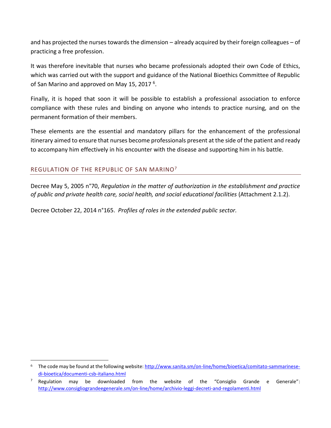and has projected the nurses towards the dimension – already acquired by their foreign colleagues – of practicing a free profession.

It was therefore inevitable that nurses who became professionals adopted their own Code of Ethics, which was carried out with the support and guidance of the National Bioethics Committee of Republic of San Marino and approved on May 15, 2017<sup>6</sup>.

Finally, it is hoped that soon it will be possible to establish a professional association to enforce compliance with these rules and binding on anyone who intends to practice nursing, and on the permanent formation of their members.

These elements are the essential and mandatory pillars for the enhancement of the professional itinerary aimed to ensure that nurses become professionals present at the side of the patient and ready to accompany him effectively in his encounter with the disease and supporting him in his battle.

#### <span id="page-18-0"></span>REGULATION OF THE REPUBLIC OF SAN MARINO<sup>7</sup>

l

Decree May 5, 2005 n°70, *Regulation in the matter of authorization in the establishment and practice of public and private health care, social health, and social educational facilities* (Attachment 2.1.2).

Decree October 22, 2014 n°165. *Profiles of roles in the extended public sector.*

<sup>6</sup> The code may be found at the following website: [http://www.sanita.sm/on-line/home/bioetica/comitato-sammarinese](http://www.sanita.sm/on-line/home/bioetica/comitato-sammarinese-di-bioetica/documenti-csb-italiano.html)[di-bioetica/documenti-csb-italiano.html](http://www.sanita.sm/on-line/home/bioetica/comitato-sammarinese-di-bioetica/documenti-csb-italiano.html) 

Regulation may be downloaded from the website of the "Consiglio Grande e Generale": <http://www.consigliograndeegenerale.sm/on-line/home/archivio-leggi-decreti-and-regolamenti.html>